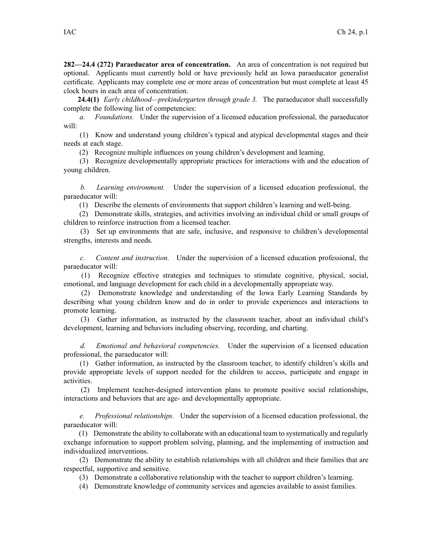**282—24.4 (272) Paraeducator area of concentration.** An area of concentration is not required but optional. Applicants must currently hold or have previously held an Iowa paraeducator generalist certificate. Applicants may complete one or more areas of concentration but must complete at least 45 clock hours in each area of concentration.

**24.4(1)** *Early childhood—prekindergarten through grade 3.* The paraeducator shall successfully complete the following list of competencies:

*a. Foundations.* Under the supervision of <sup>a</sup> licensed education professional, the paraeducator will:

(1) Know and understand young children's typical and atypical developmental stages and their needs at each stage.

(2) Recognize multiple influences on young children's development and learning.

(3) Recognize developmentally appropriate practices for interactions with and the education of young children.

*b. Learning environment.* Under the supervision of <sup>a</sup> licensed education professional, the paraeducator will:

(1) Describe the elements of environments that suppor<sup>t</sup> children's learning and well-being.

(2) Demonstrate skills, strategies, and activities involving an individual child or small groups of children to reinforce instruction from <sup>a</sup> licensed teacher.

(3) Set up environments that are safe, inclusive, and responsive to children's developmental strengths, interests and needs.

*c. Content and instruction.* Under the supervision of <sup>a</sup> licensed education professional, the paraeducator will:

(1) Recognize effective strategies and techniques to stimulate cognitive, physical, social, emotional, and language development for each child in <sup>a</sup> developmentally appropriate way.

(2) Demonstrate knowledge and understanding of the Iowa Early Learning Standards by describing what young children know and do in order to provide experiences and interactions to promote learning.

(3) Gather information, as instructed by the classroom teacher, about an individual child's development, learning and behaviors including observing, recording, and charting.

*d. Emotional and behavioral competencies.* Under the supervision of <sup>a</sup> licensed education professional, the paraeducator will:

(1) Gather information, as instructed by the classroom teacher, to identify children's skills and provide appropriate levels of suppor<sup>t</sup> needed for the children to access, participate and engage in activities.

(2) Implement teacher-designed intervention plans to promote positive social relationships, interactions and behaviors that are age- and developmentally appropriate.

*e. Professional relationships.* Under the supervision of <sup>a</sup> licensed education professional, the paraeducator will:

(1) Demonstrate the ability to collaborate with an educational team to systematically and regularly exchange information to suppor<sup>t</sup> problem solving, planning, and the implementing of instruction and individualized interventions.

(2) Demonstrate the ability to establish relationships with all children and their families that are respectful, supportive and sensitive.

(3) Demonstrate <sup>a</sup> collaborative relationship with the teacher to suppor<sup>t</sup> children's learning.

(4) Demonstrate knowledge of community services and agencies available to assist families.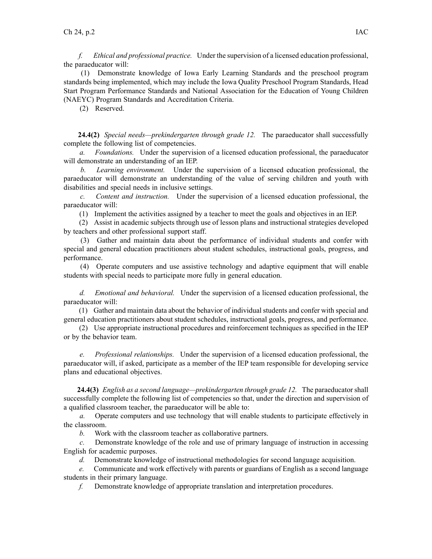*f. Ethical and professional practice.* Under the supervision of <sup>a</sup> licensed education professional, the paraeducator will:

(1) Demonstrate knowledge of Iowa Early Learning Standards and the preschool program standards being implemented, which may include the Iowa Quality Preschool Program Standards, Head Start Program Performance Standards and National Association for the Education of Young Children (NAEYC) Program Standards and Accreditation Criteria.

(2) Reserved.

**24.4(2)** *Special needs—prekindergarten through grade 12.* The paraeducator shall successfully complete the following list of competencies.

*a. Foundations.* Under the supervision of <sup>a</sup> licensed education professional, the paraeducator will demonstrate an understanding of an IEP.

*b. Learning environment.* Under the supervision of <sup>a</sup> licensed education professional, the paraeducator will demonstrate an understanding of the value of serving children and youth with disabilities and special needs in inclusive settings.

*c. Content and instruction.* Under the supervision of <sup>a</sup> licensed education professional, the paraeducator will:

(1) Implement the activities assigned by <sup>a</sup> teacher to meet the goals and objectives in an IEP.

(2) Assist in academic subjects through use of lesson plans and instructional strategies developed by teachers and other professional suppor<sup>t</sup> staff.

(3) Gather and maintain data about the performance of individual students and confer with special and general education practitioners about student schedules, instructional goals, progress, and performance.

(4) Operate computers and use assistive technology and adaptive equipment that will enable students with special needs to participate more fully in general education.

*d. Emotional and behavioral.* Under the supervision of <sup>a</sup> licensed education professional, the paraeducator will:

(1) Gather and maintain data about the behavior of individual students and confer with special and general education practitioners about student schedules, instructional goals, progress, and performance.

(2) Use appropriate instructional procedures and reinforcement techniques as specified in the IEP or by the behavior team.

*e. Professional relationships.* Under the supervision of <sup>a</sup> licensed education professional, the paraeducator will, if asked, participate as <sup>a</sup> member of the IEP team responsible for developing service plans and educational objectives.

**24.4(3)** *English as <sup>a</sup> second language—prekindergarten through grade 12.* The paraeducator shall successfully complete the following list of competencies so that, under the direction and supervision of <sup>a</sup> qualified classroom teacher, the paraeducator will be able to:

*a.* Operate computers and use technology that will enable students to participate effectively in the classroom.

*b.* Work with the classroom teacher as collaborative partners.

*c.* Demonstrate knowledge of the role and use of primary language of instruction in accessing English for academic purposes.

*d.* Demonstrate knowledge of instructional methodologies for second language acquisition.

*e.* Communicate and work effectively with parents or guardians of English as <sup>a</sup> second language students in their primary language.

*f.* Demonstrate knowledge of appropriate translation and interpretation procedures.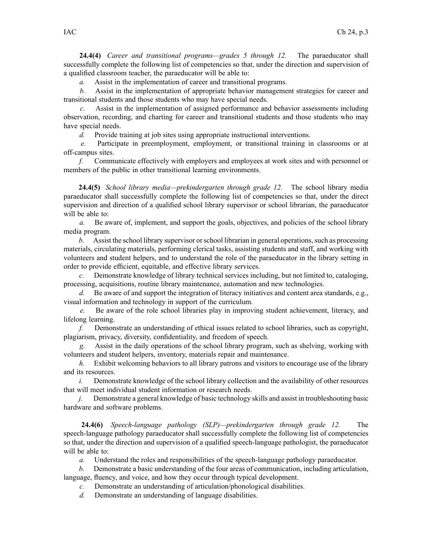**24.4(4)** *Career and transitional programs—grades 5 through 12.* The paraeducator shall successfully complete the following list of competencies so that, under the direction and supervision of <sup>a</sup> qualified classroom teacher, the paraeducator will be able to:

*a.* Assist in the implementation of career and transitional programs.

*b.* Assist in the implementation of appropriate behavior managemen<sup>t</sup> strategies for career and transitional students and those students who may have special needs.

*c.* Assist in the implementation of assigned performance and behavior assessments including observation, recording, and charting for career and transitional students and those students who may have special needs.

*d.* Provide training at job sites using appropriate instructional interventions.

*e.* Participate in preemployment, employment, or transitional training in classrooms or at off-campus sites.

*f.* Communicate effectively with employers and employees at work sites and with personnel or members of the public in other transitional learning environments.

**24.4(5)** *School library media—prekindergarten through grade 12.* The school library media paraeducator shall successfully complete the following list of competencies so that, under the direct supervision and direction of <sup>a</sup> qualified school library supervisor or school librarian, the paraeducator will be able to:

*a.* Be aware of, implement, and suppor<sup>t</sup> the goals, objectives, and policies of the school library media program.

*b.* Assist the school library supervisor or school librarian in general operations, such as processing materials, circulating materials, performing clerical tasks, assisting students and staff, and working with volunteers and student helpers, and to understand the role of the paraeducator in the library setting in order to provide efficient, equitable, and effective library services.

*c.* Demonstrate knowledge of library technical services including, but not limited to, cataloging, processing, acquisitions, routine library maintenance, automation and new technologies.

*d.* Be aware of and suppor<sup>t</sup> the integration of literacy initiatives and content area standards, e.g., visual information and technology in suppor<sup>t</sup> of the curriculum.

*e.* Be aware of the role school libraries play in improving student achievement, literacy, and lifelong learning.

*f.* Demonstrate an understanding of ethical issues related to school libraries, such as copyright, plagiarism, privacy, diversity, confidentiality, and freedom of speech.

*g.* Assist in the daily operations of the school library program, such as shelving, working with volunteers and student helpers, inventory, materials repair and maintenance.

*h.* Exhibit welcoming behaviors to all library patrons and visitors to encourage use of the library and its resources.

*i.* Demonstrate knowledge of the school library collection and the availability of other resources that will meet individual student information or research needs.

*j.* Demonstrate <sup>a</sup> general knowledge of basic technology skills and assist in troubleshooting basic hardware and software problems.

**24.4(6)** *Speech-language pathology (SLP)—prekindergarten through grade 12.* The speech-language pathology paraeducator shall successfully complete the following list of competencies so that, under the direction and supervision of <sup>a</sup> qualified speech-language pathologist, the paraeducator will be able to:

*a.* Understand the roles and responsibilities of the speech-language pathology paraeducator.

*b.* Demonstrate <sup>a</sup> basic understanding of the four areas of communication, including articulation, language, fluency, and voice, and how they occur through typical development.

*c.* Demonstrate an understanding of articulation/phonological disabilities.

*d.* Demonstrate an understanding of language disabilities.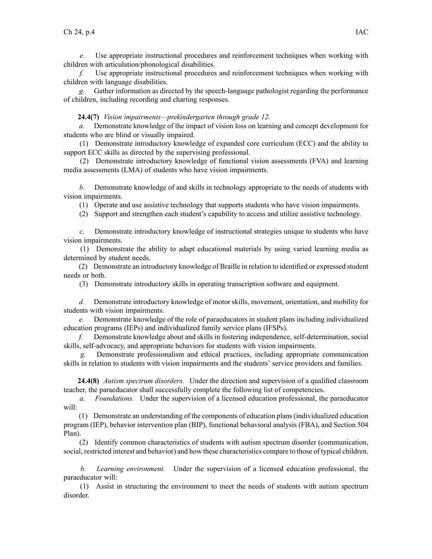*e.* Use appropriate instructional procedures and reinforcement techniques when working with children with articulation/phonological disabilities.

*f.* Use appropriate instructional procedures and reinforcement techniques when working with children with language disabilities.

Gather information as directed by the speech-language pathologist regarding the performance of children, including recording and charting responses.

## **24.4(7)** *Vision impairments—prekindergarten through grade 12.*

*a.* Demonstrate knowledge of the impact of vision loss on learning and concep<sup>t</sup> development for students who are blind or visually impaired.

(1) Demonstrate introductory knowledge of expanded core curriculum (ECC) and the ability to suppor<sup>t</sup> ECC skills as directed by the supervising professional.

(2) Demonstrate introductory knowledge of functional vision assessments (FVA) and learning media assessments (LMA) of students who have vision impairments.

*b.* Demonstrate knowledge of and skills in technology appropriate to the needs of students with vision impairments.

(1) Operate and use assistive technology that supports students who have vision impairments.

(2) Support and strengthen each student's capability to access and utilize assistive technology.

*c.* Demonstrate introductory knowledge of instructional strategies unique to students who have vision impairments.

(1) Demonstrate the ability to adapt educational materials by using varied learning media as determined by student needs.

(2) Demonstrate an introductory knowledge of Braille in relation to identified or expressed student needs or both.

(3) Demonstrate introductory skills in operating transcription software and equipment.

*d.* Demonstrate introductory knowledge of motor skills, movement, orientation, and mobility for students with vision impairments.

*e.* Demonstrate knowledge of the role of paraeducators in student plans including individualized education programs (IEPs) and individualized family service plans (IFSPs).

*f.* Demonstrate knowledge about and skills in fostering independence, self-determination, social skills, self-advocacy, and appropriate behaviors for students with vision impairments.

*g.* Demonstrate professionalism and ethical practices, including appropriate communication skills in relation to students with vision impairments and the students' service providers and families.

**24.4(8)** *Autism spectrum disorders.* Under the direction and supervision of <sup>a</sup> qualified classroom teacher, the paraeducator shall successfully complete the following list of competencies.

*a. Foundations.* Under the supervision of <sup>a</sup> licensed education professional, the paraeducator will:

(1) Demonstrate an understanding of the components of education plans(individualized education program (IEP), behavior intervention plan (BIP), functional behavioral analysis (FBA), and Section 504 Plan).

(2) Identify common characteristics of students with autism spectrum disorder (communication, social, restricted interest and behavior) and how these characteristics compare to those of typical children.

*b. Learning environment.* Under the supervision of <sup>a</sup> licensed education professional, the paraeducator will:

(1) Assist in structuring the environment to meet the needs of students with autism spectrum disorder.